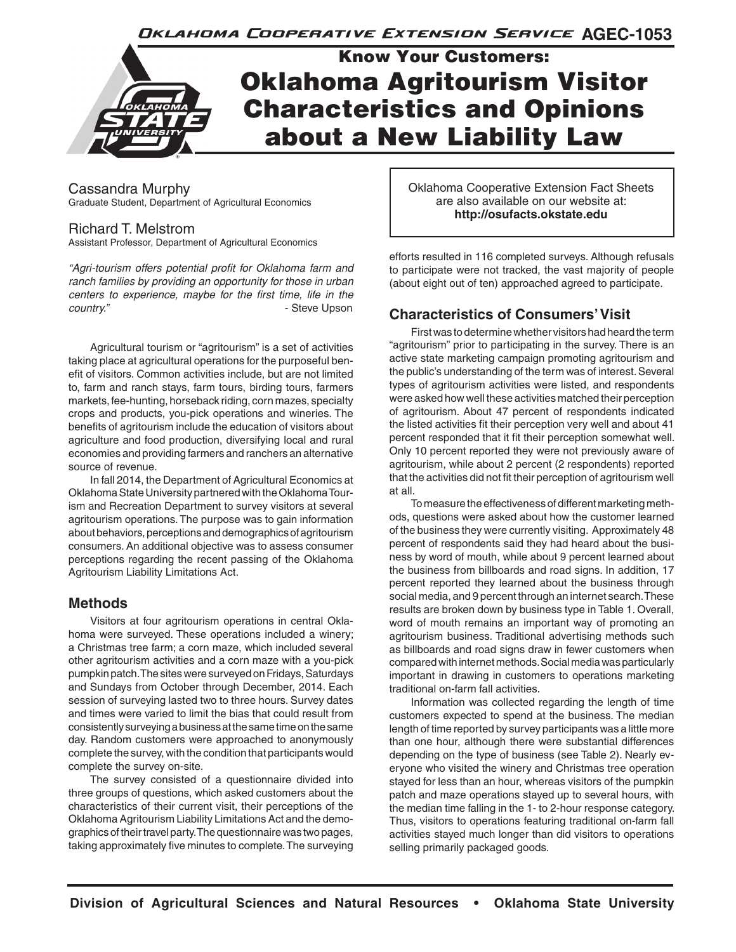Oklahoma Cooperative Extension Service AGEC-1053



Cassandra Murphy Graduate Student, Department of Agricultural Economics

# Richard T. Melstrom

Assistant Professor, Department of Agricultural Economics

*"Agri-tourism offers potential profit for Oklahoma farm and ranch families by providing an opportunity for those in urban centers to experience, maybe for the first time, life in the country.*  $\blacksquare$ 

Agricultural tourism or "agritourism" is a set of activities taking place at agricultural operations for the purposeful benefit of visitors. Common activities include, but are not limited to, farm and ranch stays, farm tours, birding tours, farmers markets, fee-hunting, horseback riding, corn mazes, specialty crops and products, you-pick operations and wineries. The benefits of agritourism include the education of visitors about agriculture and food production, diversifying local and rural economies and providing farmers and ranchers an alternative source of revenue.

In fall 2014, the Department of Agricultural Economics at Oklahoma State University partnered with the Oklahoma Tourism and Recreation Department to survey visitors at several agritourism operations. The purpose was to gain information about behaviors, perceptions and demographics of agritourism consumers. An additional objective was to assess consumer perceptions regarding the recent passing of the Oklahoma Agritourism Liability Limitations Act.

# **Methods**

Visitors at four agritourism operations in central Oklahoma were surveyed. These operations included a winery; a Christmas tree farm; a corn maze, which included several other agritourism activities and a corn maze with a you-pick pumpkin patch. The sites were surveyed on Fridays, Saturdays and Sundays from October through December, 2014. Each session of surveying lasted two to three hours. Survey dates and times were varied to limit the bias that could result from consistently surveying a business at the same time on the same day. Random customers were approached to anonymously complete the survey, with the condition that participants would complete the survey on-site.

The survey consisted of a questionnaire divided into three groups of questions, which asked customers about the characteristics of their current visit, their perceptions of the Oklahoma Agritourism Liability Limitations Act and the demographics of their travel party. The questionnaire was two pages, taking approximately five minutes to complete. The surveying

Oklahoma Cooperative Extension Fact Sheets are also available on our website at: **http://osufacts.okstate.edu**

efforts resulted in 116 completed surveys. Although refusals to participate were not tracked, the vast majority of people (about eight out of ten) approached agreed to participate.

# **Characteristics of Consumers' Visit**

First was to determine whether visitors had heard the term "agritourism" prior to participating in the survey. There is an active state marketing campaign promoting agritourism and the public's understanding of the term was of interest. Several types of agritourism activities were listed, and respondents were asked how well these activities matched their perception of agritourism. About 47 percent of respondents indicated the listed activities fit their perception very well and about 41 percent responded that it fit their perception somewhat well. Only 10 percent reported they were not previously aware of agritourism, while about 2 percent (2 respondents) reported that the activities did not fit their perception of agritourism well at all.

To measure the effectiveness of different marketing methods, questions were asked about how the customer learned of the business they were currently visiting. Approximately 48 percent of respondents said they had heard about the business by word of mouth, while about 9 percent learned about the business from billboards and road signs. In addition, 17 percent reported they learned about the business through social media, and 9 percent through an internet search. These results are broken down by business type in Table 1. Overall, word of mouth remains an important way of promoting an agritourism business. Traditional advertising methods such as billboards and road signs draw in fewer customers when compared with internet methods. Social media was particularly important in drawing in customers to operations marketing traditional on-farm fall activities.

Information was collected regarding the length of time customers expected to spend at the business. The median length of time reported by survey participants was a little more than one hour, although there were substantial differences depending on the type of business (see Table 2). Nearly everyone who visited the winery and Christmas tree operation stayed for less than an hour, whereas visitors of the pumpkin patch and maze operations stayed up to several hours, with the median time falling in the 1- to 2-hour response category. Thus, visitors to operations featuring traditional on-farm fall activities stayed much longer than did visitors to operations selling primarily packaged goods.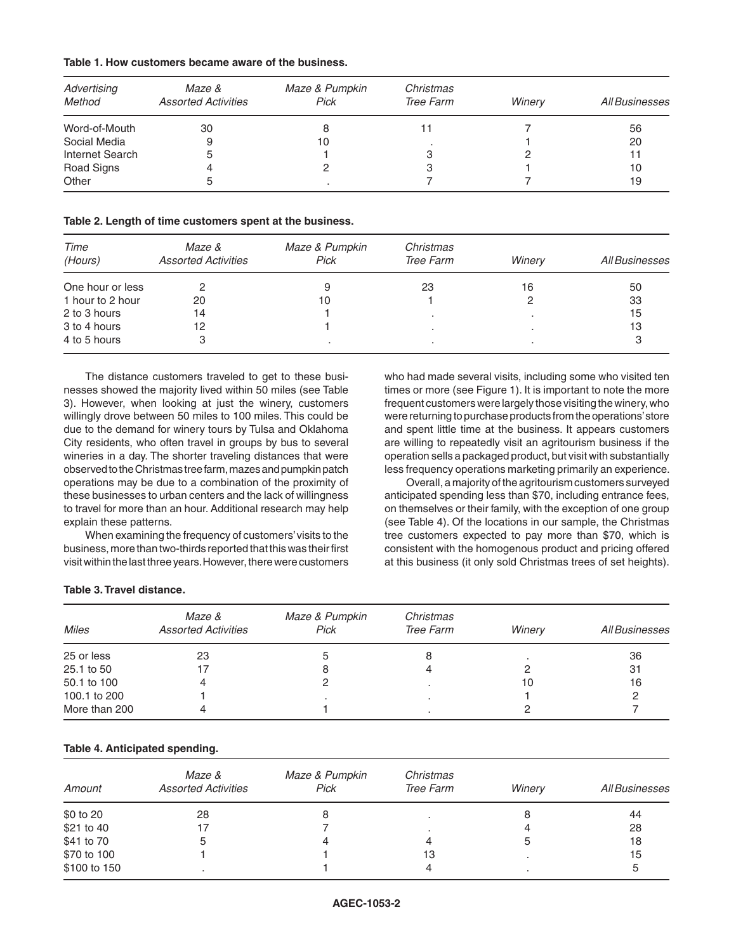| Table 1. How customers became aware of the business. |  |  |
|------------------------------------------------------|--|--|
|------------------------------------------------------|--|--|

| Advertising<br>Method | Maze &<br><b>Assorted Activities</b> | Maze & Pumpkin<br>Pick | Christmas<br>Tree Farm | Winery | All Businesses |
|-----------------------|--------------------------------------|------------------------|------------------------|--------|----------------|
|                       |                                      |                        |                        |        |                |
| Word-of-Mouth         | 30                                   |                        |                        |        | 56             |
| Social Media          | 9                                    | 10                     |                        |        | 20             |
| Internet Search       | 5                                    |                        |                        |        | 11             |
| Road Signs            |                                      |                        |                        |        | 10             |
| Other                 | 5                                    |                        |                        |        | 19             |

**Table 2. Length of time customers spent at the business.**

| Time<br>(Hours)  | Maze &<br><b>Assorted Activities</b> | Maze & Pumpkin<br>Pick | Christmas<br>Tree Farm | Winery | All Businesses |
|------------------|--------------------------------------|------------------------|------------------------|--------|----------------|
| One hour or less |                                      | 9                      | 23                     | 16     | 50             |
| 1 hour to 2 hour | 20                                   | 10                     |                        |        | 33             |
| 2 to 3 hours     | 14                                   |                        |                        |        | 15             |
| 3 to 4 hours     | 12                                   |                        |                        |        | 13             |
| 4 to 5 hours     |                                      |                        |                        |        |                |

The distance customers traveled to get to these businesses showed the majority lived within 50 miles (see Table 3). However, when looking at just the winery, customers willingly drove between 50 miles to 100 miles. This could be due to the demand for winery tours by Tulsa and Oklahoma City residents, who often travel in groups by bus to several wineries in a day. The shorter traveling distances that were observed to the Christmas tree farm, mazes and pumpkin patch operations may be due to a combination of the proximity of these businesses to urban centers and the lack of willingness to travel for more than an hour. Additional research may help explain these patterns.

When examining the frequency of customers' visits to the business, more than two-thirds reported that this was their first visit within the last three years. However, there were customers

who had made several visits, including some who visited ten times or more (see Figure 1). It is important to note the more frequent customers were largely those visiting the winery, who were returning to purchase products from the operations' store and spent little time at the business. It appears customers are willing to repeatedly visit an agritourism business if the operation sells a packaged product, but visit with substantially less frequency operations marketing primarily an experience.

Overall, a majority of the agritourism customers surveyed anticipated spending less than \$70, including entrance fees, on themselves or their family, with the exception of one group (see Table 4). Of the locations in our sample, the Christmas tree customers expected to pay more than \$70, which is consistent with the homogenous product and pricing offered at this business (it only sold Christmas trees of set heights).

### **Table 3. Travel distance.**

| <b>Miles</b>  | Maze &<br><b>Assorted Activities</b> | Maze & Pumpkin<br>Pick | Christmas<br>Tree Farm | Winery | All Businesses |
|---------------|--------------------------------------|------------------------|------------------------|--------|----------------|
| 25 or less    | 23                                   |                        |                        |        | 36             |
| 25.1 to 50    |                                      | 8                      |                        |        | -31            |
| 50.1 to 100   |                                      |                        |                        | 10     | 16             |
| 100.1 to 200  |                                      |                        |                        |        |                |
| More than 200 |                                      |                        |                        |        |                |

### **Table 4. Anticipated spending.**

| Amount       | Maze &<br><b>Assorted Activities</b> | Maze & Pumpkin<br>Pick | Christmas<br>Tree Farm | Winery | All Businesses |
|--------------|--------------------------------------|------------------------|------------------------|--------|----------------|
| \$0 to 20    | 28                                   | 8                      |                        |        | 44             |
| \$21 to 40   |                                      |                        |                        |        | 28             |
| \$41 to 70   |                                      |                        |                        |        | 18             |
| \$70 to 100  |                                      |                        | 13                     |        | 15             |
| \$100 to 150 |                                      |                        |                        |        | ა              |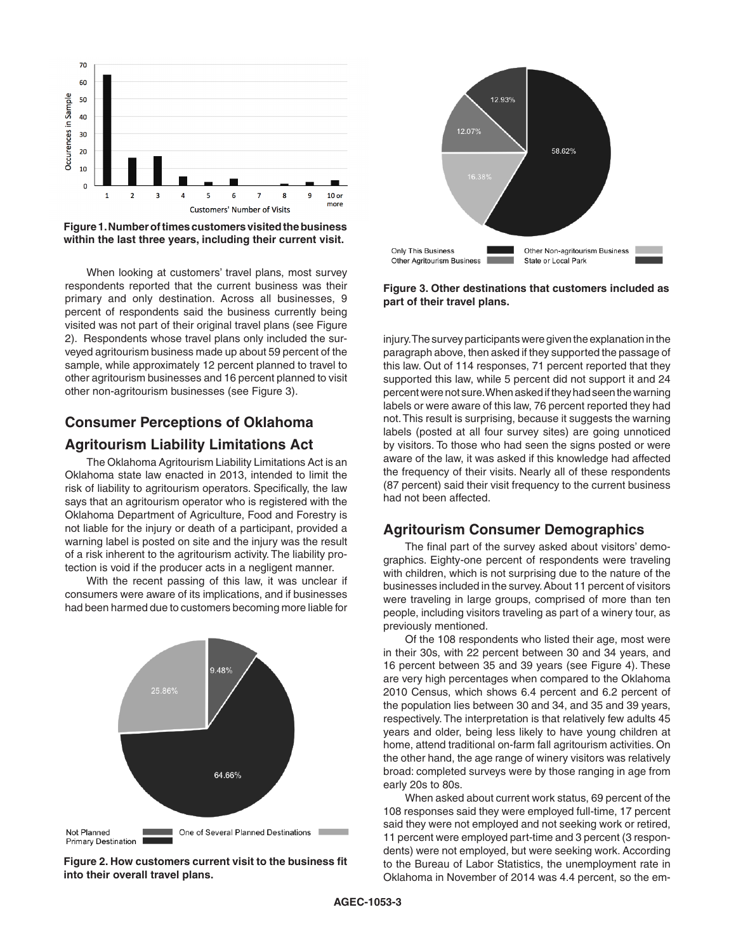

**Figure 1. Number of times customers visited the business within the last three years, including their current visit.** 

When looking at customers' travel plans, most survey respondents reported that the current business was their primary and only destination. Across all businesses, 9 percent of respondents said the business currently being visited was not part of their original travel plans (see Figure 2). Respondents whose travel plans only included the surveyed agritourism business made up about 59 percent of the sample, while approximately 12 percent planned to travel to other agritourism businesses and 16 percent planned to visit other non-agritourism businesses (see Figure 3).

# **Consumer Perceptions of Oklahoma**

# **Agritourism Liability Limitations Act**

The Oklahoma Agritourism Liability Limitations Act is an Oklahoma state law enacted in 2013, intended to limit the risk of liability to agritourism operators. Specifically, the law says that an agritourism operator who is registered with the Oklahoma Department of Agriculture, Food and Forestry is not liable for the injury or death of a participant, provided a warning label is posted on site and the injury was the result of a risk inherent to the agritourism activity. The liability protection is void if the producer acts in a negligent manner.

With the recent passing of this law, it was unclear if consumers were aware of its implications, and if businesses had been harmed due to customers becoming more liable for



**Figure 2. How customers current visit to the business fit into their overall travel plans.**



**Figure 3. Other destinations that customers included as part of their travel plans.**

injury. The survey participants were given the explanation in the paragraph above, then asked if they supported the passage of this law. Out of 114 responses, 71 percent reported that they supported this law, while 5 percent did not support it and 24 percent were not sure. When asked if they had seen the warning labels or were aware of this law, 76 percent reported they had not. This result is surprising, because it suggests the warning labels (posted at all four survey sites) are going unnoticed by visitors. To those who had seen the signs posted or were aware of the law, it was asked if this knowledge had affected the frequency of their visits. Nearly all of these respondents (87 percent) said their visit frequency to the current business had not been affected.

### **Agritourism Consumer Demographics**

The final part of the survey asked about visitors' demographics. Eighty-one percent of respondents were traveling with children, which is not surprising due to the nature of the businesses included in the survey. About 11 percent of visitors were traveling in large groups, comprised of more than ten people, including visitors traveling as part of a winery tour, as previously mentioned.

Of the 108 respondents who listed their age, most were in their 30s, with 22 percent between 30 and 34 years, and 16 percent between 35 and 39 years (see Figure 4). These are very high percentages when compared to the Oklahoma 2010 Census, which shows 6.4 percent and 6.2 percent of the population lies between 30 and 34, and 35 and 39 years, respectively. The interpretation is that relatively few adults 45 years and older, being less likely to have young children at home, attend traditional on-farm fall agritourism activities. On the other hand, the age range of winery visitors was relatively broad: completed surveys were by those ranging in age from early 20s to 80s.

When asked about current work status, 69 percent of the 108 responses said they were employed full-time, 17 percent said they were not employed and not seeking work or retired, 11 percent were employed part-time and 3 percent (3 respondents) were not employed, but were seeking work. According to the Bureau of Labor Statistics, the unemployment rate in Oklahoma in November of 2014 was 4.4 percent, so the em-